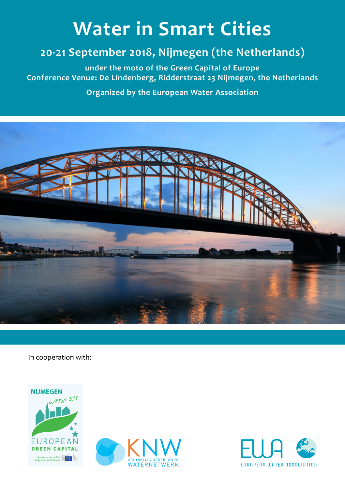# **Water in Smart Cities**

# **20-21 September 2018, Nijmegen (the Netherlands)**

**under the moto of the Green Capital of Europe Conference Venue: De Lindenberg, Ridderstraat 23 Nijmegen, the Netherlands**

**Organized by the European Water Association**



In cooperation with:





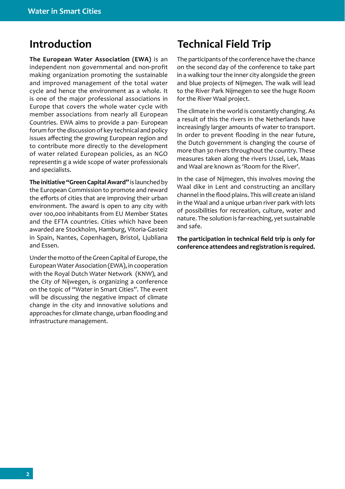**The European Water Association (EWA)** is an independent non governmental and non-profit making organization promoting the sustainable and improved management of the total water cycle and hence the environment as a whole. It is one of the major professional associations in Europe that covers the whole water cycle with member associations from nearly all European Countries. EWA aims to provide a pan- European forum for the discussion of key technical and policy issues affecting the growing European region and to contribute more directly to the development of water related European policies, as an NGO representin g a wide scope of water professionals and specialists.

**The initiative "Green Capital Award"** is launched by the European Commission to promote and reward the efforts of cities that are improving their urban environment. The award is open to any city with over 100,000 inhabitants from EU Member States and the EFTA countries. Cities which have been awarded are Stockholm, Hamburg, Vitoria-Gasteiz in Spain, Nantes, Copenhagen, Bristol, Ljubliana and Essen.

Under the motto of the Green Capital of Europe, the European Water Association (EWA), in cooperation with the Royal Dutch Water Network (KNW), and the City of Nijwegen, is organizing a conference on the topic of "Water in Smart Cities". The event will be discussing the negative impact of climate change in the city and innovative solutions and approaches for climate change, urban flooding and infrastructure management.

# **Introduction Technical Field Trip**

The participants of the conference have the chance on the second day of the conference to take part in a walking tour the inner city alongside the green and blue projects of Nijmegen. The walk will lead to the River Park Nijmegen to see the huge Room for the River Waal project.

The climate in the world is constantly changing. As a result of this the rivers in the Netherlands have increasingly larger amounts of water to transport. In order to prevent flooding in the near future, the Dutch government is changing the course of more than 30 rivers throughout the country. These measures taken along the rivers IJssel, Lek, Maas and Waal are known as 'Room for the River'.

In the case of Nijmegen, this involves moving the Waal dike in Lent and constructing an ancillary channel in the flood plains. This will create an island in the Waal and a unique urban river park with lots of possibilities for recreation, culture, water and nature. The solution is far-reaching, yet sustainable and safe.

**The participation in technical field trip is only for conference attendees and registration is required.**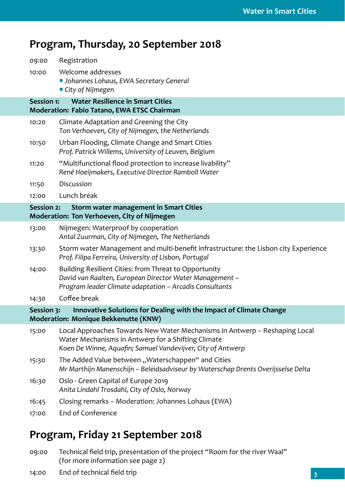#### **Program, Thursday, 20 September 2018**

| 09:00                                                                                                                    | Registration                                                                                                                                                                                    |  |  |  |  |
|--------------------------------------------------------------------------------------------------------------------------|-------------------------------------------------------------------------------------------------------------------------------------------------------------------------------------------------|--|--|--|--|
| 10:00                                                                                                                    | Welcome addresses<br><b>Johannes Lohaus, EWA Secretary General</b><br>■ City of Nijmegen                                                                                                        |  |  |  |  |
| <b>Session 1:</b>                                                                                                        | <b>Water Resilience in Smart Cities</b><br>Moderation: Fabio Tatano, EWA ETSC Chairman                                                                                                          |  |  |  |  |
| 10:20                                                                                                                    | Climate Adaptation and Greening the City<br>Ton Verhoeven, City of Nijmegen, the Netherlands                                                                                                    |  |  |  |  |
| 10:50                                                                                                                    | Urban Flooding, Climate Change and Smart Cities<br>Prof. Patrick Willems, University of Leuven, Belgium                                                                                         |  |  |  |  |
| 11:20                                                                                                                    | "Multifunctional flood protection to increase livability"<br>René Hoeijmakers, Executive Director Ramboll Water                                                                                 |  |  |  |  |
| 11:50                                                                                                                    | Discussion                                                                                                                                                                                      |  |  |  |  |
| 12:00                                                                                                                    | Lunch break                                                                                                                                                                                     |  |  |  |  |
| <b>Session 2:</b><br>Storm water management in Smart Cities<br>Moderation: Ton Verhoeven, City of Nijmegen               |                                                                                                                                                                                                 |  |  |  |  |
| 13:00                                                                                                                    | Nijmegen: Waterproof by cooperation<br>Antal Zuurman, City of Nijmegen, The Netherlands                                                                                                         |  |  |  |  |
| 13:30                                                                                                                    | Storm water Management and multi-benefit infrastructure: the Lisbon city Experience<br>Prof. Filipa Ferreira, University of Lisbon, Portugal                                                    |  |  |  |  |
| 14:00                                                                                                                    | Building Resilient Cities: from Threat to Opportunity<br>David van Raalten, European Director Water Management -<br>Program leader Climate adaptation - Arcadis Consultants                     |  |  |  |  |
| 14:30                                                                                                                    | Coffee break                                                                                                                                                                                    |  |  |  |  |
| Innovative Solutions for Dealing with the Impact of Climate Change<br>Session 3:<br>Moderation: Monique Bekkenutte (KNW) |                                                                                                                                                                                                 |  |  |  |  |
| 15:00                                                                                                                    | Local Approaches Towards New Water Mechanisms in Antwerp - Reshaping Local<br>Water Mechanisms in Antwerp for a Shifting Climate<br>Koen De Winne, Aquafin; Samuel Vandevijver, City of Antwerp |  |  |  |  |
| 15:30                                                                                                                    | The Added Value between "Waterschappen" and Cities<br>Mr Marthijn Manenschijn - Beleidsadviseur by Waterschap Drents Overijsselse Delta                                                         |  |  |  |  |
| 16:30                                                                                                                    | Oslo - Green Capital of Europe 2019<br>Anita Lindahl Trosdahl, City of Oslo, Norway                                                                                                             |  |  |  |  |
| 16:45                                                                                                                    | Closing remarks - Moderation: Johannes Lohaus (EWA)                                                                                                                                             |  |  |  |  |
| 17:00                                                                                                                    | End of Conference                                                                                                                                                                               |  |  |  |  |

#### **Program, Friday 21 September 2018**

- 09:00 Technical field trip, presentation of the project "Room for the river Waal" (for more information see page 2)
- 14:00 End of technical field trip